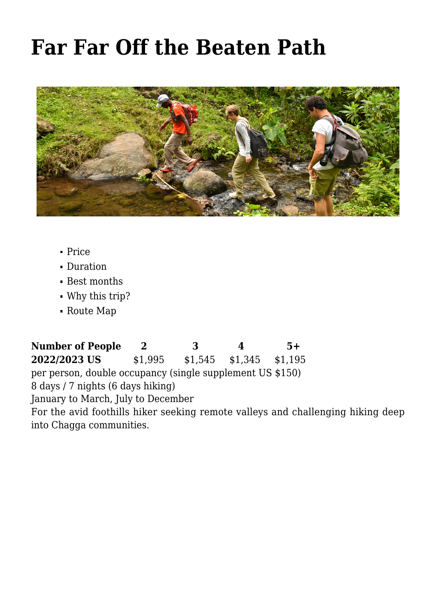# **[Far Far Off the Beaten Path](https://www.nomadicexperience.com/eco-adventures/kilimanjaro-foothills-walk/8-days-out-of-the-beaten-path/)**



- [Price](#page--1-0)
- [Duration](#page--1-0)
- [Best months](#page--1-0)
- [Why this trip?](#page--1-0)
- [Route Map](#page--1-0)

**Number of People 2 3 4 5+ 2022/2023 US** \$1,995 \$1,545 \$1,345 \$1,195 per person, double occupancy (single supplement US \$150) 8 days / 7 nights (6 days hiking) January to March, July to December For the avid foothills hiker seeking remote valleys and challenging hiking deep into Chagga communities.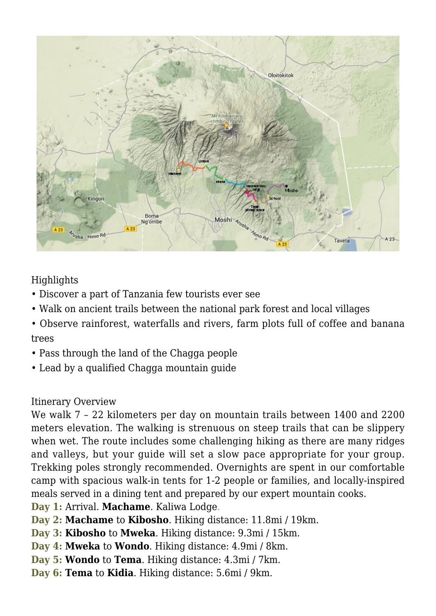

#### Highlights

- Discover a part of Tanzania few tourists ever see
- Walk on ancient trails between the national park forest and local villages
- Observe rainforest, waterfalls and rivers, farm plots full of coffee and banana trees
- Pass through the land of the Chagga people
- Lead by a qualified Chagga mountain guide

#### Itinerary Overview

We walk 7 – 22 kilometers per day on mountain trails between 1400 and 2200 meters elevation. The walking is strenuous on steep trails that can be slippery when wet. The route includes some challenging hiking as there are many ridges and valleys, but your guide will set a slow pace appropriate for your group. Trekking poles strongly recommended. Overnights are spent in our comfortable camp with spacious walk-in tents for 1-2 people or families, and locally-inspired meals served in a dining tent and prepared by our expert mountain cooks.

- **Day 1:** Arrival. **Machame**. [Kaliwa Lodge.](http://www.kaliwalodge.com/?lang=en)
- **Day 2: Machame** to **Kibosho**. Hiking distance: 11.8mi / 19km.
- **Day 3: Kibosho** to **Mweka**. Hiking distance: 9.3mi / 15km.
- **Day 4: Mweka** to **Wondo**. Hiking distance: 4.9mi / 8km.
- **Day 5: Wondo** to **Tema**. Hiking distance: 4.3mi / 7km.
- **Day 6: Tema** to **Kidia**. Hiking distance: 5.6mi / 9km.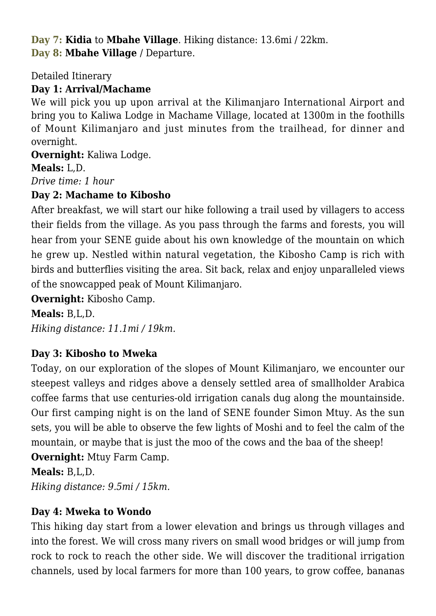**Day 7: Kidia** to **Mbahe Village**. Hiking distance: 13.6mi / 22km. **Day 8: Mbahe Village** / Departure.

Detailed Itinerary

## **Day 1: Arrival/Machame**

We will pick you up upon arrival at the Kilimanjaro International Airport and bring you to Kaliwa Lodge in Machame Village, located at 1300m in the foothills of Mount Kilimanjaro and just minutes from the trailhead, for dinner and overnight.

**Overnight:** [Kaliwa Lodge.](http://www.kaliwalodge.com/?lang=en)

**Meals:** L,D.

*Drive time: 1 hour*

## **Day 2: Machame to Kibosho**

After breakfast, we will start our hike following a trail used by villagers to access their fields from the village. As you pass through the farms and forests, you will hear from your SENE guide about his own knowledge of the mountain on which he grew up. Nestled within natural vegetation, the Kibosho Camp is rich with birds and butterflies visiting the area. Sit back, relax and enjoy unparalleled views of the snowcapped peak of Mount Kilimanjaro.

**Overnight:** Kibosho Camp.

## **Meals:** B,L,D.

*Hiking distance: 11.1mi / 19km.*

## **Day 3: Kibosho to Mweka**

Today, on our exploration of the slopes of Mount Kilimanjaro, we encounter our steepest valleys and ridges above a densely settled area of smallholder Arabica coffee farms that use centuries-old irrigation canals dug along the mountainside. Our first camping night is on the land of SENE founder Simon Mtuy. As the sun sets, you will be able to observe the few lights of Moshi and to feel the calm of the mountain, or maybe that is just the moo of the cows and the baa of the sheep! **Overnight:** Mtuy Farm Camp.

**Meals:** B,L,D.

*Hiking distance: 9.5mi / 15km.*

## **Day 4: Mweka to Wondo**

This hiking day start from a lower elevation and brings us through villages and into the forest. We will cross many rivers on small wood bridges or will jump from rock to rock to reach the other side. We will discover the traditional irrigation channels, used by local farmers for more than 100 years, to grow coffee, bananas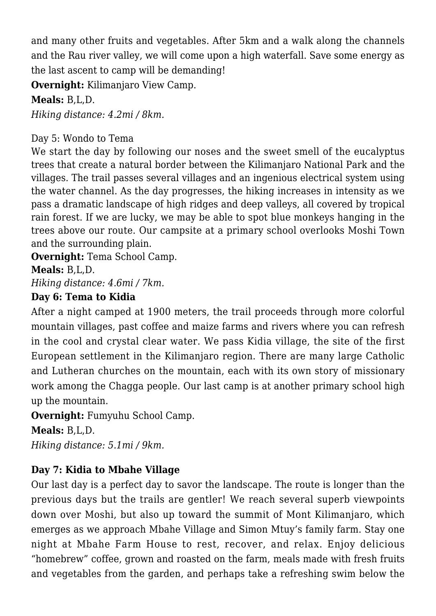and many other fruits and vegetables. After 5km and a walk along the channels and the Rau river valley, we will come upon a high waterfall. Save some energy as the last ascent to camp will be demanding!

**Overnight:** Kilimaniaro View Camp.

## **Meals:** B,L,D.

*Hiking distance: 4.2mi / 8km.*

#### Day 5: Wondo to Tema

We start the day by following our noses and the sweet smell of the eucalyptus trees that create a natural border between the Kilimanjaro National Park and the villages. The trail passes several villages and an ingenious electrical system using the water channel. As the day progresses, the hiking increases in intensity as we pass a dramatic landscape of high ridges and deep valleys, all covered by tropical rain forest. If we are lucky, we may be able to spot blue monkeys hanging in the trees above our route. Our campsite at a primary school overlooks Moshi Town and the surrounding plain.

**Overnight:** Tema School Camp.

**Meals:** B,L,D.

*Hiking distance: 4.6mi / 7km.*

#### **Day 6: Tema to Kidia**

After a night camped at 1900 meters, the trail proceeds through more colorful mountain villages, past coffee and maize farms and rivers where you can refresh in the cool and crystal clear water. We pass Kidia village, the site of the first European settlement in the Kilimanjaro region. There are many large Catholic and Lutheran churches on the mountain, each with its own story of missionary work among the Chagga people. Our last camp is at another primary school high up the mountain.

**Overnight:** Fumyuhu School Camp.

**Meals:** B,L,D.

*Hiking distance: 5.1mi / 9km.*

## **Day 7: Kidia to Mbahe Village**

Our last day is a perfect day to savor the landscape. The route is longer than the previous days but the trails are gentler! We reach several superb viewpoints down over Moshi, but also up toward the summit of Mont Kilimanjaro, which emerges as we approach Mbahe Village and Simon Mtuy's family farm. Stay one night at Mbahe Farm House to rest, recover, and relax. Enjoy delicious "homebrew" coffee, grown and roasted on the farm, meals made with fresh fruits and vegetables from the garden, and perhaps take a refreshing swim below the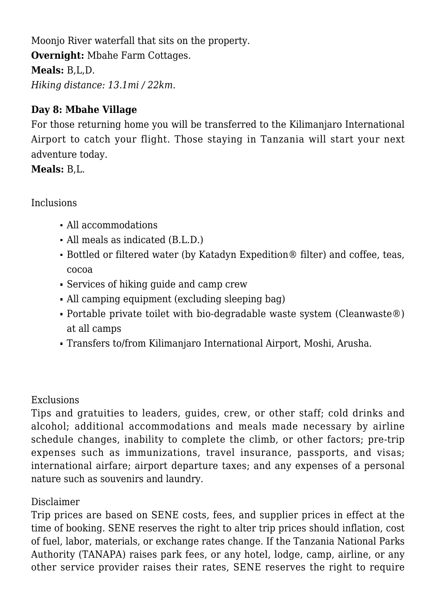Moonjo River waterfall that sits on the property. **Overnight:** [Mbahe Farm Cottages.](https://www.nomadicexperience.com/mbahe-farm-cottages/) **Meals:** B,L,D. *Hiking distance: 13.1mi / 22km.*

#### **Day 8: Mbahe Village**

For those returning home you will be transferred to the Kilimanjaro International Airport to catch your flight. Those staying in Tanzania will start your next adventure today.

**Meals:** B,L.

#### Inclusions

- All accommodations
- All meals as indicated (B.L.D.)
- Bottled or filtered water (by Katadyn Expedition® filter) and coffee, teas, cocoa
- Services of hiking guide and camp crew
- All camping equipment (excluding sleeping bag)
- Portable private toilet with bio-degradable waste system (Cleanwaste®) at all camps
- Transfers to/from Kilimanjaro International Airport, Moshi, Arusha.

#### Exclusions

Tips and gratuities to leaders, guides, crew, or other staff; cold drinks and alcohol; additional accommodations and meals made necessary by airline schedule changes, inability to complete the climb, or other factors; pre-trip expenses such as immunizations, travel insurance, passports, and visas; international airfare; airport departure taxes; and any expenses of a personal nature such as souvenirs and laundry.

## Disclaimer

Trip prices are based on SENE costs, fees, and supplier prices in effect at the time of booking. SENE reserves the right to alter trip prices should inflation, cost of fuel, labor, materials, or exchange rates change. If the Tanzania National Parks Authority (TANAPA) raises park fees, or any hotel, lodge, camp, airline, or any other service provider raises their rates, SENE reserves the right to require